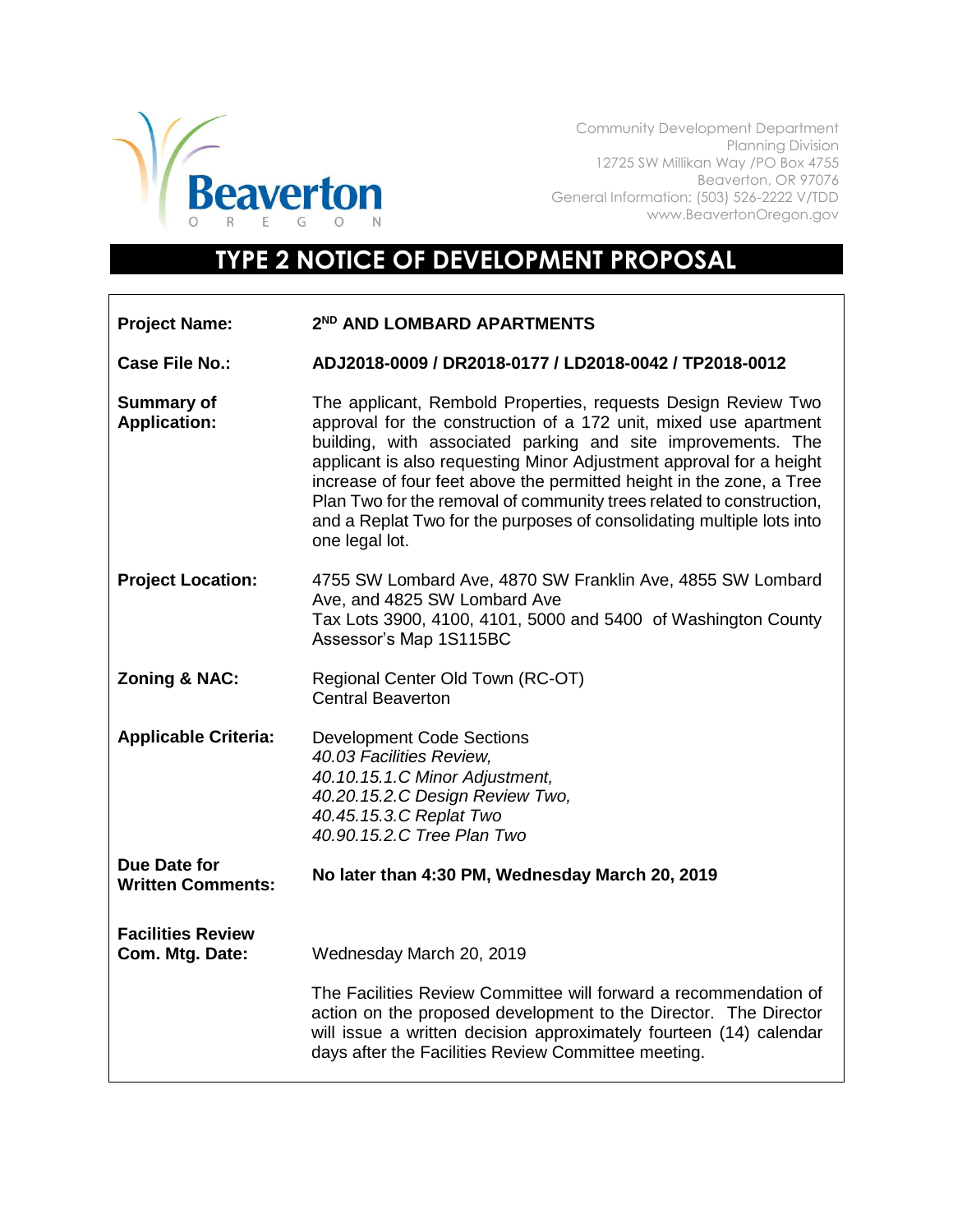

Community Development Department Planning Division 12725 SW Millikan Way /PO Box 4755 Beaverton, OR 97076 General Information: (503) 526-2222 V/TDD www.BeavertonOregon.gov

## **TYPE 2 NOTICE OF DEVELOPMENT PROPOSAL**

| <b>Project Name:</b>                        | 2 <sup>ND</sup> AND LOMBARD APARTMENTS                                                                                                                                                                                                                                                                                                                                                                                                                                                                              |
|---------------------------------------------|---------------------------------------------------------------------------------------------------------------------------------------------------------------------------------------------------------------------------------------------------------------------------------------------------------------------------------------------------------------------------------------------------------------------------------------------------------------------------------------------------------------------|
| <b>Case File No.:</b>                       | ADJ2018-0009 / DR2018-0177 / LD2018-0042 / TP2018-0012                                                                                                                                                                                                                                                                                                                                                                                                                                                              |
| <b>Summary of</b><br><b>Application:</b>    | The applicant, Rembold Properties, requests Design Review Two<br>approval for the construction of a 172 unit, mixed use apartment<br>building, with associated parking and site improvements. The<br>applicant is also requesting Minor Adjustment approval for a height<br>increase of four feet above the permitted height in the zone, a Tree<br>Plan Two for the removal of community trees related to construction,<br>and a Replat Two for the purposes of consolidating multiple lots into<br>one legal lot. |
| <b>Project Location:</b>                    | 4755 SW Lombard Ave, 4870 SW Franklin Ave, 4855 SW Lombard<br>Ave, and 4825 SW Lombard Ave<br>Tax Lots 3900, 4100, 4101, 5000 and 5400 of Washington County<br>Assessor's Map 1S115BC                                                                                                                                                                                                                                                                                                                               |
| <b>Zoning &amp; NAC:</b>                    | Regional Center Old Town (RC-OT)<br><b>Central Beaverton</b>                                                                                                                                                                                                                                                                                                                                                                                                                                                        |
| <b>Applicable Criteria:</b>                 | <b>Development Code Sections</b><br>40.03 Facilities Review,<br>40.10.15.1.C Minor Adjustment,<br>40.20.15.2.C Design Review Two,<br>40.45.15.3.C Replat Two<br>40.90.15.2.C Tree Plan Two                                                                                                                                                                                                                                                                                                                          |
| Due Date for<br><b>Written Comments:</b>    | No later than 4:30 PM, Wednesday March 20, 2019                                                                                                                                                                                                                                                                                                                                                                                                                                                                     |
| <b>Facilities Review</b><br>Com. Mtg. Date: | Wednesday March 20, 2019                                                                                                                                                                                                                                                                                                                                                                                                                                                                                            |
|                                             | The Facilities Review Committee will forward a recommendation of<br>action on the proposed development to the Director. The Director<br>will issue a written decision approximately fourteen (14) calendar<br>days after the Facilities Review Committee meeting.                                                                                                                                                                                                                                                   |